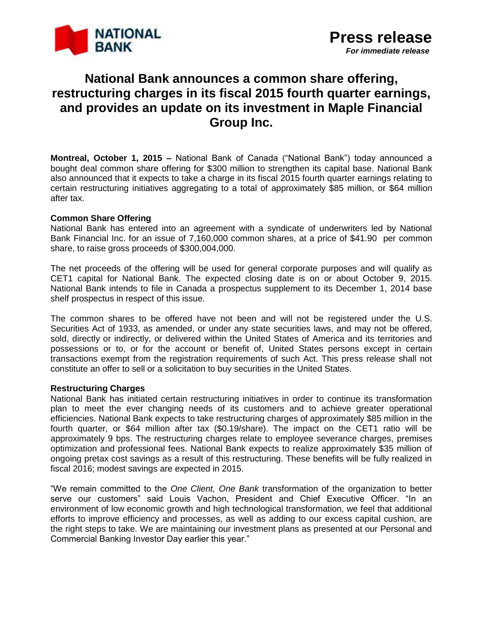

# **National Bank announces a common share offering, restructuring charges in its fiscal 2015 fourth quarter earnings, and provides an update on its investment in Maple Financial Group Inc.**

**Montreal, October 1, 2015 –** National Bank of Canada ("National Bank") today announced a bought deal common share offering for \$300 million to strengthen its capital base. National Bank also announced that it expects to take a charge in its fiscal 2015 fourth quarter earnings relating to certain restructuring initiatives aggregating to a total of approximately \$85 million, or \$64 million after tax.

## **Common Share Offering**

National Bank has entered into an agreement with a syndicate of underwriters led by National Bank Financial Inc. for an issue of 7,160,000 common shares, at a price of \$41.90 per common share, to raise gross proceeds of \$300,004,000.

The net proceeds of the offering will be used for general corporate purposes and will qualify as CET1 capital for National Bank. The expected closing date is on or about October 9, 2015. National Bank intends to file in Canada a prospectus supplement to its December 1, 2014 base shelf prospectus in respect of this issue.

The common shares to be offered have not been and will not be registered under the U.S. Securities Act of 1933, as amended, or under any state securities laws, and may not be offered, sold, directly or indirectly, or delivered within the United States of America and its territories and possessions or to, or for the account or benefit of, United States persons except in certain transactions exempt from the registration requirements of such Act. This press release shall not constitute an offer to sell or a solicitation to buy securities in the United States.

## **Restructuring Charges**

National Bank has initiated certain restructuring initiatives in order to continue its transformation plan to meet the ever changing needs of its customers and to achieve greater operational efficiencies. National Bank expects to take restructuring charges of approximately \$85 million in the fourth quarter, or \$64 million after tax (\$0.19/share). The impact on the CET1 ratio will be approximately 9 bps. The restructuring charges relate to employee severance charges, premises optimization and professional fees. National Bank expects to realize approximately \$35 million of ongoing pretax cost savings as a result of this restructuring. These benefits will be fully realized in fiscal 2016; modest savings are expected in 2015.

"We remain committed to the *One Client, One Bank* transformation of the organization to better serve our customers" said Louis Vachon, President and Chief Executive Officer. "In an environment of low economic growth and high technological transformation, we feel that additional efforts to improve efficiency and processes, as well as adding to our excess capital cushion, are the right steps to take. We are maintaining our investment plans as presented at our Personal and Commercial Banking Investor Day earlier this year."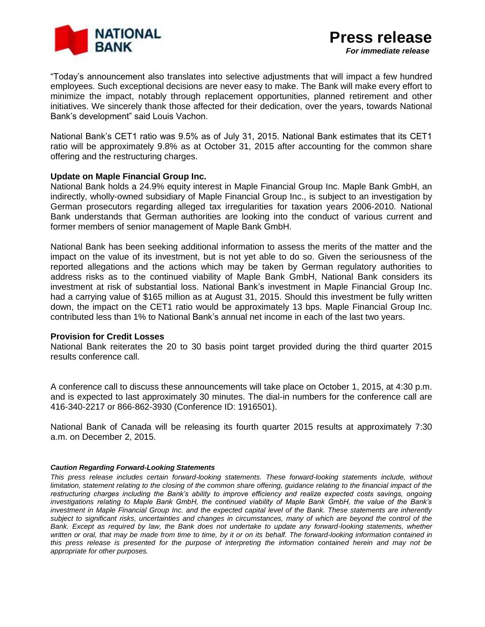

"Today's announcement also translates into selective adjustments that will impact a few hundred employees. Such exceptional decisions are never easy to make. The Bank will make every effort to minimize the impact, notably through replacement opportunities, planned retirement and other initiatives. We sincerely thank those affected for their dedication, over the years, towards National Bank's development" said Louis Vachon.

National Bank's CET1 ratio was 9.5% as of July 31, 2015. National Bank estimates that its CET1 ratio will be approximately 9.8% as at October 31, 2015 after accounting for the common share offering and the restructuring charges.

### **Update on Maple Financial Group Inc.**

National Bank holds a 24.9% equity interest in Maple Financial Group Inc. Maple Bank GmbH, an indirectly, wholly-owned subsidiary of Maple Financial Group Inc., is subject to an investigation by German prosecutors regarding alleged tax irregularities for taxation years 2006-2010. National Bank understands that German authorities are looking into the conduct of various current and former members of senior management of Maple Bank GmbH.

National Bank has been seeking additional information to assess the merits of the matter and the impact on the value of its investment, but is not yet able to do so. Given the seriousness of the reported allegations and the actions which may be taken by German regulatory authorities to address risks as to the continued viability of Maple Bank GmbH, National Bank considers its investment at risk of substantial loss. National Bank's investment in Maple Financial Group Inc. had a carrying value of \$165 million as at August 31, 2015. Should this investment be fully written down, the impact on the CET1 ratio would be approximately 13 bps. Maple Financial Group Inc. contributed less than 1% to National Bank's annual net income in each of the last two years.

#### **Provision for Credit Losses**

National Bank reiterates the 20 to 30 basis point target provided during the third quarter 2015 results conference call.

A conference call to discuss these announcements will take place on October 1, 2015, at 4:30 p.m. and is expected to last approximately 30 minutes. The dial-in numbers for the conference call are 416-340-2217 or 866-862-3930 (Conference ID: 1916501).

National Bank of Canada will be releasing its fourth quarter 2015 results at approximately 7:30 a.m. on December 2, 2015.

#### *Caution Regarding Forward-Looking Statements*

*This press release includes certain forward-looking statements. These forward-looking statements include, without limitation, statement relating to the closing of the common share offering, guidance relating to the financial impact of the* restructuring charges including the Bank's ability to improve efficiency and realize expected costs savings, ongoing *investigations relating to Maple Bank GmbH, the continued viability of Maple Bank GmbH, the value of the Bank's investment in Maple Financial Group Inc. and the expected capital level of the Bank. These statements are inherently subject to significant risks, uncertainties and changes in circumstances, many of which are beyond the control of the Bank. Except as required by law, the Bank does not undertake to update any forward-looking statements, whether written or oral, that may be made from time to time, by it or on its behalf. The forward-looking information contained in this press release is presented for the purpose of interpreting the information contained herein and may not be appropriate for other purposes.*